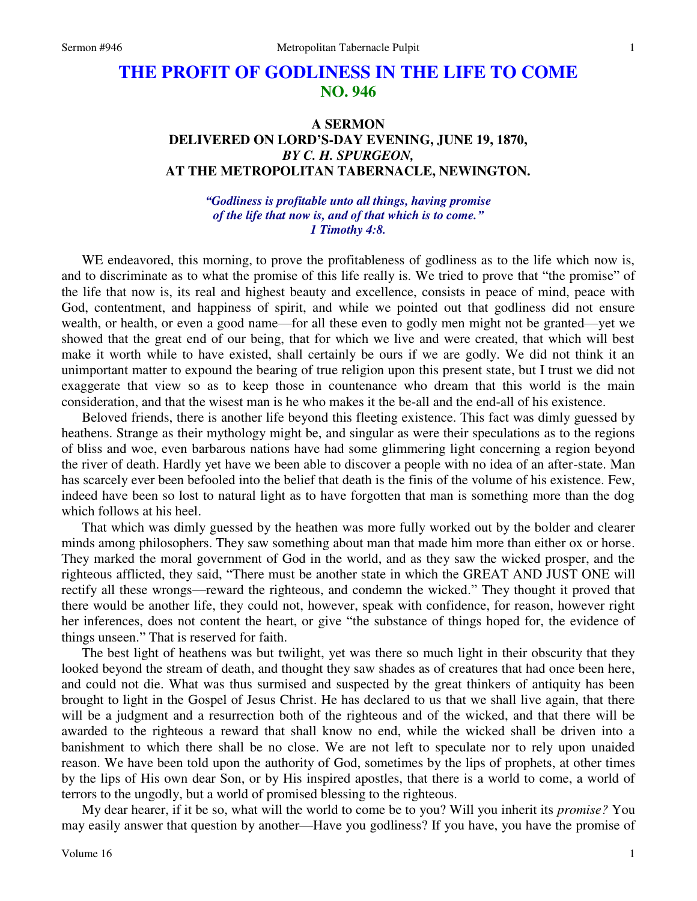# **THE PROFIT OF GODLINESS IN THE LIFE TO COME NO. 946**

## **A SERMON DELIVERED ON LORD'S-DAY EVENING, JUNE 19, 1870,**  *BY C. H. SPURGEON,*  **AT THE METROPOLITAN TABERNACLE, NEWINGTON.**

#### *"Godliness is profitable unto all things, having promise of the life that now is, and of that which is to come." 1 Timothy 4:8.*

WE endeavored, this morning, to prove the profitableness of godliness as to the life which now is, and to discriminate as to what the promise of this life really is. We tried to prove that "the promise" of the life that now is, its real and highest beauty and excellence, consists in peace of mind, peace with God, contentment, and happiness of spirit, and while we pointed out that godliness did not ensure wealth, or health, or even a good name—for all these even to godly men might not be granted—yet we showed that the great end of our being, that for which we live and were created, that which will best make it worth while to have existed, shall certainly be ours if we are godly. We did not think it an unimportant matter to expound the bearing of true religion upon this present state, but I trust we did not exaggerate that view so as to keep those in countenance who dream that this world is the main consideration, and that the wisest man is he who makes it the be-all and the end-all of his existence.

Beloved friends, there is another life beyond this fleeting existence. This fact was dimly guessed by heathens. Strange as their mythology might be, and singular as were their speculations as to the regions of bliss and woe, even barbarous nations have had some glimmering light concerning a region beyond the river of death. Hardly yet have we been able to discover a people with no idea of an after-state. Man has scarcely ever been befooled into the belief that death is the finis of the volume of his existence. Few, indeed have been so lost to natural light as to have forgotten that man is something more than the dog which follows at his heel.

That which was dimly guessed by the heathen was more fully worked out by the bolder and clearer minds among philosophers. They saw something about man that made him more than either ox or horse. They marked the moral government of God in the world, and as they saw the wicked prosper, and the righteous afflicted, they said, "There must be another state in which the GREAT AND JUST ONE will rectify all these wrongs—reward the righteous, and condemn the wicked." They thought it proved that there would be another life, they could not, however, speak with confidence, for reason, however right her inferences, does not content the heart, or give "the substance of things hoped for, the evidence of things unseen." That is reserved for faith.

The best light of heathens was but twilight, yet was there so much light in their obscurity that they looked beyond the stream of death, and thought they saw shades as of creatures that had once been here, and could not die. What was thus surmised and suspected by the great thinkers of antiquity has been brought to light in the Gospel of Jesus Christ. He has declared to us that we shall live again, that there will be a judgment and a resurrection both of the righteous and of the wicked, and that there will be awarded to the righteous a reward that shall know no end, while the wicked shall be driven into a banishment to which there shall be no close. We are not left to speculate nor to rely upon unaided reason. We have been told upon the authority of God, sometimes by the lips of prophets, at other times by the lips of His own dear Son, or by His inspired apostles, that there is a world to come, a world of terrors to the ungodly, but a world of promised blessing to the righteous.

My dear hearer, if it be so, what will the world to come be to you? Will you inherit its *promise?* You may easily answer that question by another—Have you godliness? If you have, you have the promise of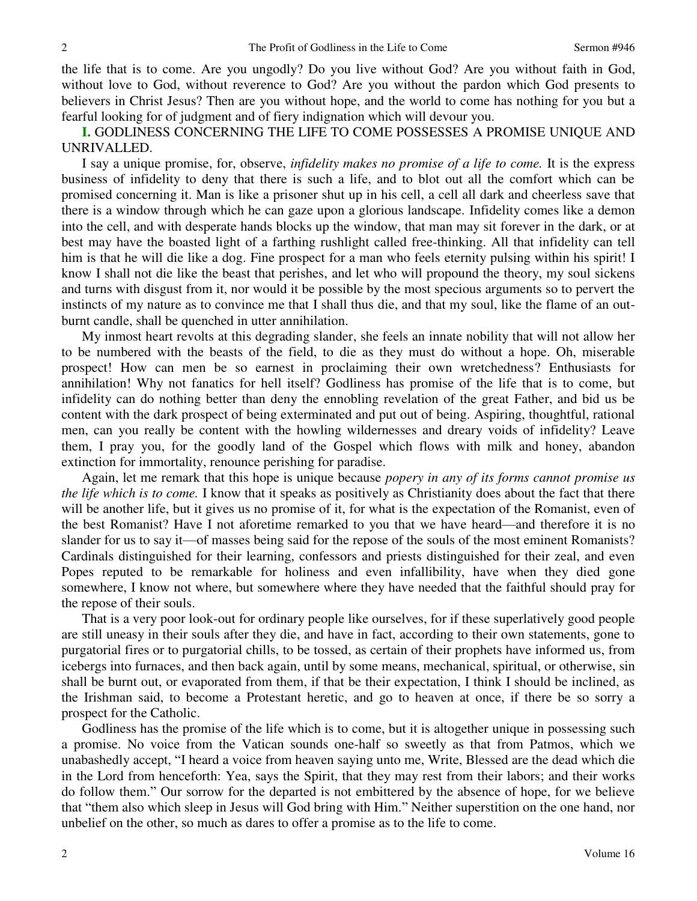the life that is to come. Are you ungodly? Do you live without God? Are you without faith in God, without love to God, without reverence to God? Are you without the pardon which God presents to believers in Christ Jesus? Then are you without hope, and the world to come has nothing for you but a fearful looking for of judgment and of fiery indignation which will devour you.

**I.** GODLINESS CONCERNING THE LIFE TO COME POSSESSES A PROMISE UNIQUE AND UNRIVALLED.

I say a unique promise, for, observe, *infidelity makes no promise of a life to come.* It is the express business of infidelity to deny that there is such a life, and to blot out all the comfort which can be promised concerning it. Man is like a prisoner shut up in his cell, a cell all dark and cheerless save that there is a window through which he can gaze upon a glorious landscape. Infidelity comes like a demon into the cell, and with desperate hands blocks up the window, that man may sit forever in the dark, or at best may have the boasted light of a farthing rushlight called free-thinking. All that infidelity can tell him is that he will die like a dog. Fine prospect for a man who feels eternity pulsing within his spirit! I know I shall not die like the beast that perishes, and let who will propound the theory, my soul sickens and turns with disgust from it, nor would it be possible by the most specious arguments so to pervert the instincts of my nature as to convince me that I shall thus die, and that my soul, like the flame of an outburnt candle, shall be quenched in utter annihilation.

My inmost heart revolts at this degrading slander, she feels an innate nobility that will not allow her to be numbered with the beasts of the field, to die as they must do without a hope. Oh, miserable prospect! How can men be so earnest in proclaiming their own wretchedness? Enthusiasts for annihilation! Why not fanatics for hell itself? Godliness has promise of the life that is to come, but infidelity can do nothing better than deny the ennobling revelation of the great Father, and bid us be content with the dark prospect of being exterminated and put out of being. Aspiring, thoughtful, rational men, can you really be content with the howling wildernesses and dreary voids of infidelity? Leave them, I pray you, for the goodly land of the Gospel which flows with milk and honey, abandon extinction for immortality, renounce perishing for paradise.

Again, let me remark that this hope is unique because *popery in any of its forms cannot promise us the life which is to come.* I know that it speaks as positively as Christianity does about the fact that there will be another life, but it gives us no promise of it, for what is the expectation of the Romanist, even of the best Romanist? Have I not aforetime remarked to you that we have heard—and therefore it is no slander for us to say it—of masses being said for the repose of the souls of the most eminent Romanists? Cardinals distinguished for their learning, confessors and priests distinguished for their zeal, and even Popes reputed to be remarkable for holiness and even infallibility, have when they died gone somewhere, I know not where, but somewhere where they have needed that the faithful should pray for the repose of their souls.

That is a very poor look-out for ordinary people like ourselves, for if these superlatively good people are still uneasy in their souls after they die, and have in fact, according to their own statements, gone to purgatorial fires or to purgatorial chills, to be tossed, as certain of their prophets have informed us, from icebergs into furnaces, and then back again, until by some means, mechanical, spiritual, or otherwise, sin shall be burnt out, or evaporated from them, if that be their expectation, I think I should be inclined, as the Irishman said, to become a Protestant heretic, and go to heaven at once, if there be so sorry a prospect for the Catholic.

Godliness has the promise of the life which is to come, but it is altogether unique in possessing such a promise. No voice from the Vatican sounds one-half so sweetly as that from Patmos, which we unabashedly accept, "I heard a voice from heaven saying unto me, Write, Blessed are the dead which die in the Lord from henceforth: Yea, says the Spirit, that they may rest from their labors; and their works do follow them." Our sorrow for the departed is not embittered by the absence of hope, for we believe that "them also which sleep in Jesus will God bring with Him." Neither superstition on the one hand, nor unbelief on the other, so much as dares to offer a promise as to the life to come.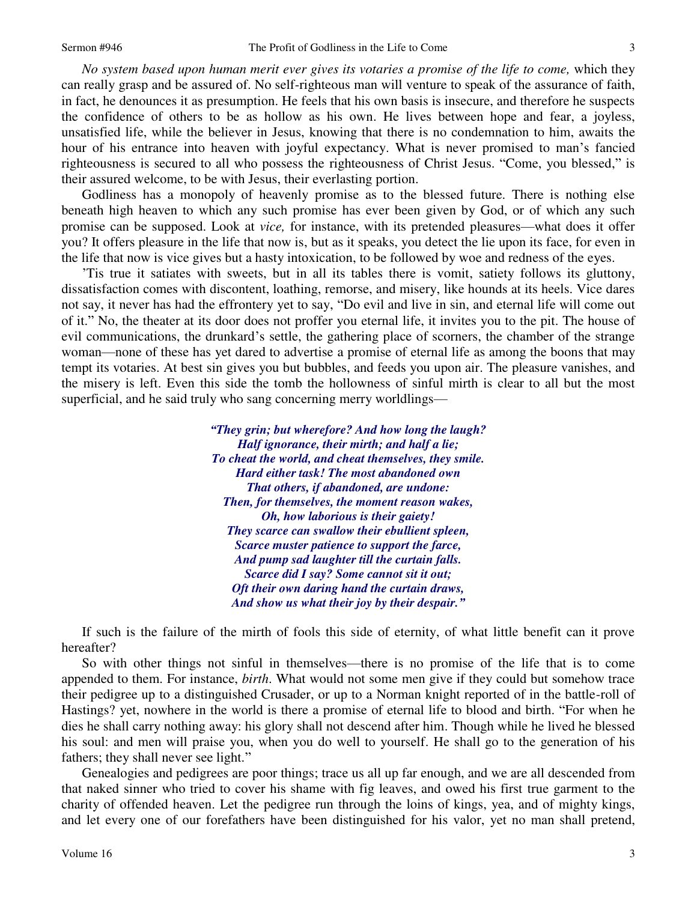3

*No system based upon human merit ever gives its votaries a promise of the life to come,* which they can really grasp and be assured of. No self-righteous man will venture to speak of the assurance of faith, in fact, he denounces it as presumption. He feels that his own basis is insecure, and therefore he suspects the confidence of others to be as hollow as his own. He lives between hope and fear, a joyless, unsatisfied life, while the believer in Jesus, knowing that there is no condemnation to him, awaits the hour of his entrance into heaven with joyful expectancy. What is never promised to man's fancied righteousness is secured to all who possess the righteousness of Christ Jesus. "Come, you blessed," is their assured welcome, to be with Jesus, their everlasting portion.

Godliness has a monopoly of heavenly promise as to the blessed future. There is nothing else beneath high heaven to which any such promise has ever been given by God, or of which any such promise can be supposed. Look at *vice,* for instance, with its pretended pleasures—what does it offer you? It offers pleasure in the life that now is, but as it speaks, you detect the lie upon its face, for even in the life that now is vice gives but a hasty intoxication, to be followed by woe and redness of the eyes.

'Tis true it satiates with sweets, but in all its tables there is vomit, satiety follows its gluttony, dissatisfaction comes with discontent, loathing, remorse, and misery, like hounds at its heels. Vice dares not say, it never has had the effrontery yet to say, "Do evil and live in sin, and eternal life will come out of it." No, the theater at its door does not proffer you eternal life, it invites you to the pit. The house of evil communications, the drunkard's settle, the gathering place of scorners, the chamber of the strange woman—none of these has yet dared to advertise a promise of eternal life as among the boons that may tempt its votaries. At best sin gives you but bubbles, and feeds you upon air. The pleasure vanishes, and the misery is left. Even this side the tomb the hollowness of sinful mirth is clear to all but the most superficial, and he said truly who sang concerning merry worldlings—

> *"They grin; but wherefore? And how long the laugh? Half ignorance, their mirth; and half a lie; To cheat the world, and cheat themselves, they smile. Hard either task! The most abandoned own That others, if abandoned, are undone: Then, for themselves, the moment reason wakes, Oh, how laborious is their gaiety! They scarce can swallow their ebullient spleen, Scarce muster patience to support the farce, And pump sad laughter till the curtain falls. Scarce did I say? Some cannot sit it out; Oft their own daring hand the curtain draws, And show us what their joy by their despair."*

If such is the failure of the mirth of fools this side of eternity, of what little benefit can it prove hereafter?

So with other things not sinful in themselves—there is no promise of the life that is to come appended to them. For instance, *birth*. What would not some men give if they could but somehow trace their pedigree up to a distinguished Crusader, or up to a Norman knight reported of in the battle-roll of Hastings? yet, nowhere in the world is there a promise of eternal life to blood and birth. "For when he dies he shall carry nothing away: his glory shall not descend after him. Though while he lived he blessed his soul: and men will praise you, when you do well to yourself. He shall go to the generation of his fathers; they shall never see light."

Genealogies and pedigrees are poor things; trace us all up far enough, and we are all descended from that naked sinner who tried to cover his shame with fig leaves, and owed his first true garment to the charity of offended heaven. Let the pedigree run through the loins of kings, yea, and of mighty kings, and let every one of our forefathers have been distinguished for his valor, yet no man shall pretend,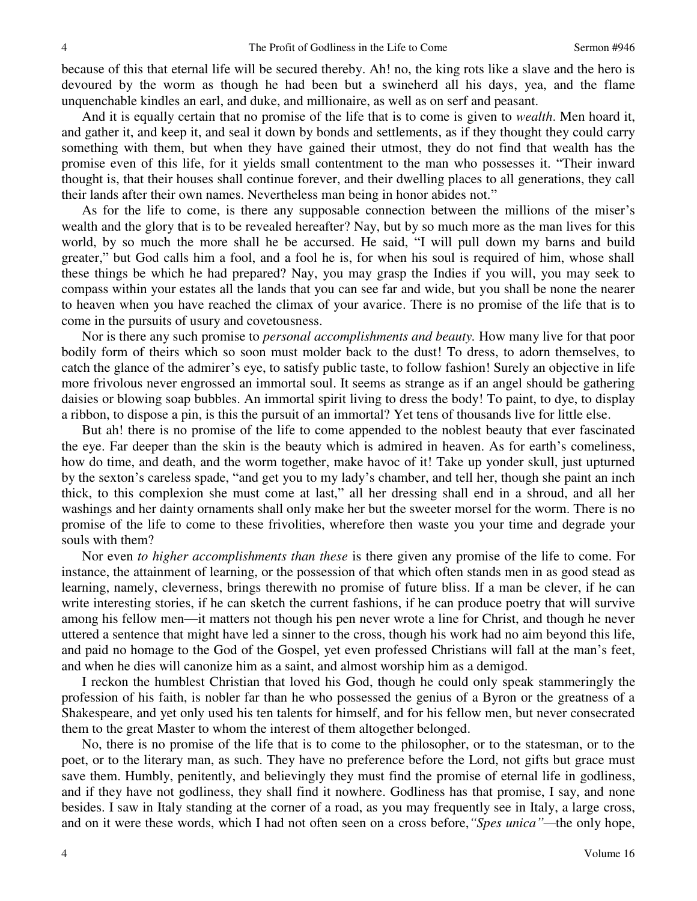because of this that eternal life will be secured thereby. Ah! no, the king rots like a slave and the hero is devoured by the worm as though he had been but a swineherd all his days, yea, and the flame unquenchable kindles an earl, and duke, and millionaire, as well as on serf and peasant.

And it is equally certain that no promise of the life that is to come is given to *wealth*. Men hoard it, and gather it, and keep it, and seal it down by bonds and settlements, as if they thought they could carry something with them, but when they have gained their utmost, they do not find that wealth has the promise even of this life, for it yields small contentment to the man who possesses it. "Their inward thought is, that their houses shall continue forever, and their dwelling places to all generations, they call their lands after their own names. Nevertheless man being in honor abides not."

As for the life to come, is there any supposable connection between the millions of the miser's wealth and the glory that is to be revealed hereafter? Nay, but by so much more as the man lives for this world, by so much the more shall he be accursed. He said, "I will pull down my barns and build greater," but God calls him a fool, and a fool he is, for when his soul is required of him, whose shall these things be which he had prepared? Nay, you may grasp the Indies if you will, you may seek to compass within your estates all the lands that you can see far and wide, but you shall be none the nearer to heaven when you have reached the climax of your avarice. There is no promise of the life that is to come in the pursuits of usury and covetousness.

Nor is there any such promise to *personal accomplishments and beauty.* How many live for that poor bodily form of theirs which so soon must molder back to the dust! To dress, to adorn themselves, to catch the glance of the admirer's eye, to satisfy public taste, to follow fashion! Surely an objective in life more frivolous never engrossed an immortal soul. It seems as strange as if an angel should be gathering daisies or blowing soap bubbles. An immortal spirit living to dress the body! To paint, to dye, to display a ribbon, to dispose a pin, is this the pursuit of an immortal? Yet tens of thousands live for little else.

But ah! there is no promise of the life to come appended to the noblest beauty that ever fascinated the eye. Far deeper than the skin is the beauty which is admired in heaven. As for earth's comeliness, how do time, and death, and the worm together, make havoc of it! Take up yonder skull, just upturned by the sexton's careless spade, "and get you to my lady's chamber, and tell her, though she paint an inch thick, to this complexion she must come at last," all her dressing shall end in a shroud, and all her washings and her dainty ornaments shall only make her but the sweeter morsel for the worm. There is no promise of the life to come to these frivolities, wherefore then waste you your time and degrade your souls with them?

Nor even *to higher accomplishments than these* is there given any promise of the life to come. For instance, the attainment of learning, or the possession of that which often stands men in as good stead as learning, namely, cleverness, brings therewith no promise of future bliss. If a man be clever, if he can write interesting stories, if he can sketch the current fashions, if he can produce poetry that will survive among his fellow men—it matters not though his pen never wrote a line for Christ, and though he never uttered a sentence that might have led a sinner to the cross, though his work had no aim beyond this life, and paid no homage to the God of the Gospel, yet even professed Christians will fall at the man's feet, and when he dies will canonize him as a saint, and almost worship him as a demigod.

I reckon the humblest Christian that loved his God, though he could only speak stammeringly the profession of his faith, is nobler far than he who possessed the genius of a Byron or the greatness of a Shakespeare, and yet only used his ten talents for himself, and for his fellow men, but never consecrated them to the great Master to whom the interest of them altogether belonged.

No, there is no promise of the life that is to come to the philosopher, or to the statesman, or to the poet, or to the literary man, as such. They have no preference before the Lord, not gifts but grace must save them. Humbly, penitently, and believingly they must find the promise of eternal life in godliness, and if they have not godliness, they shall find it nowhere. Godliness has that promise, I say, and none besides. I saw in Italy standing at the corner of a road, as you may frequently see in Italy, a large cross, and on it were these words, which I had not often seen on a cross before,*"Spes unica"—*the only hope,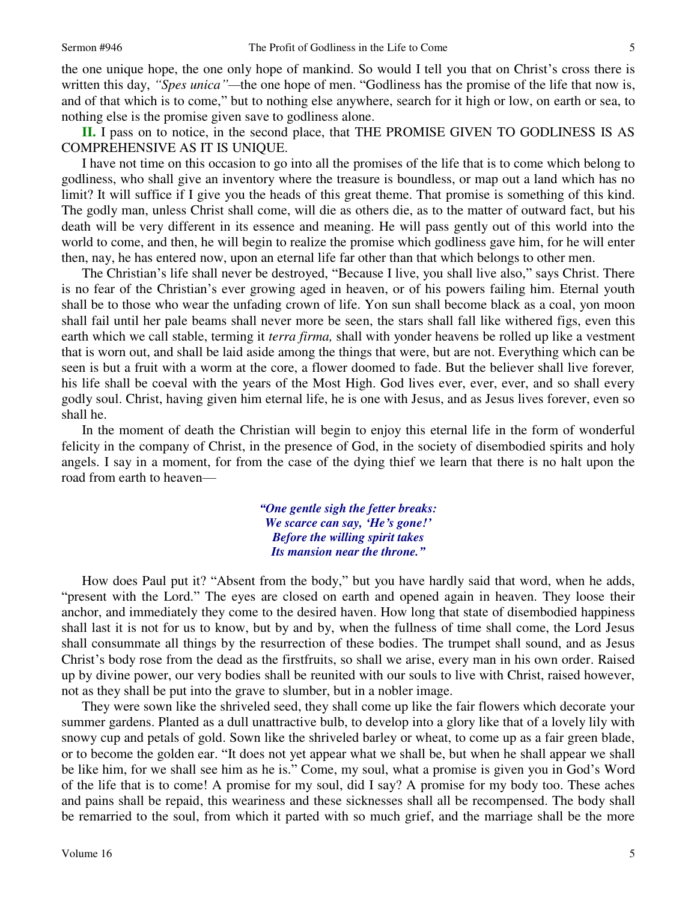the one unique hope, the one only hope of mankind. So would I tell you that on Christ's cross there is written this day, *"Spes unica*"—the one hope of men. "Godliness has the promise of the life that now is, and of that which is to come," but to nothing else anywhere, search for it high or low, on earth or sea, to nothing else is the promise given save to godliness alone.

**II.** I pass on to notice, in the second place, that THE PROMISE GIVEN TO GODLINESS IS AS COMPREHENSIVE AS IT IS UNIQUE.

I have not time on this occasion to go into all the promises of the life that is to come which belong to godliness, who shall give an inventory where the treasure is boundless, or map out a land which has no limit? It will suffice if I give you the heads of this great theme. That promise is something of this kind. The godly man, unless Christ shall come, will die as others die, as to the matter of outward fact, but his death will be very different in its essence and meaning. He will pass gently out of this world into the world to come, and then, he will begin to realize the promise which godliness gave him, for he will enter then, nay, he has entered now, upon an eternal life far other than that which belongs to other men.

The Christian's life shall never be destroyed, "Because I live, you shall live also," says Christ. There is no fear of the Christian's ever growing aged in heaven, or of his powers failing him. Eternal youth shall be to those who wear the unfading crown of life. Yon sun shall become black as a coal, yon moon shall fail until her pale beams shall never more be seen, the stars shall fall like withered figs, even this earth which we call stable, terming it *terra firma,* shall with yonder heavens be rolled up like a vestment that is worn out, and shall be laid aside among the things that were, but are not. Everything which can be seen is but a fruit with a worm at the core, a flower doomed to fade. But the believer shall live forever*,* his life shall be coeval with the years of the Most High. God lives ever, ever, ever, and so shall every godly soul. Christ, having given him eternal life, he is one with Jesus, and as Jesus lives forever, even so shall he.

In the moment of death the Christian will begin to enjoy this eternal life in the form of wonderful felicity in the company of Christ, in the presence of God, in the society of disembodied spirits and holy angels. I say in a moment, for from the case of the dying thief we learn that there is no halt upon the road from earth to heaven—

> *"One gentle sigh the fetter breaks: We scarce can say, 'He's gone!' Before the willing spirit takes Its mansion near the throne."*

How does Paul put it? "Absent from the body," but you have hardly said that word, when he adds, "present with the Lord." The eyes are closed on earth and opened again in heaven. They loose their anchor, and immediately they come to the desired haven. How long that state of disembodied happiness shall last it is not for us to know, but by and by, when the fullness of time shall come, the Lord Jesus shall consummate all things by the resurrection of these bodies. The trumpet shall sound, and as Jesus Christ's body rose from the dead as the firstfruits, so shall we arise, every man in his own order. Raised up by divine power, our very bodies shall be reunited with our souls to live with Christ, raised however, not as they shall be put into the grave to slumber, but in a nobler image.

They were sown like the shriveled seed, they shall come up like the fair flowers which decorate your summer gardens. Planted as a dull unattractive bulb, to develop into a glory like that of a lovely lily with snowy cup and petals of gold. Sown like the shriveled barley or wheat, to come up as a fair green blade, or to become the golden ear. "It does not yet appear what we shall be, but when he shall appear we shall be like him, for we shall see him as he is." Come, my soul, what a promise is given you in God's Word of the life that is to come! A promise for my soul, did I say? A promise for my body too. These aches and pains shall be repaid, this weariness and these sicknesses shall all be recompensed. The body shall be remarried to the soul, from which it parted with so much grief, and the marriage shall be the more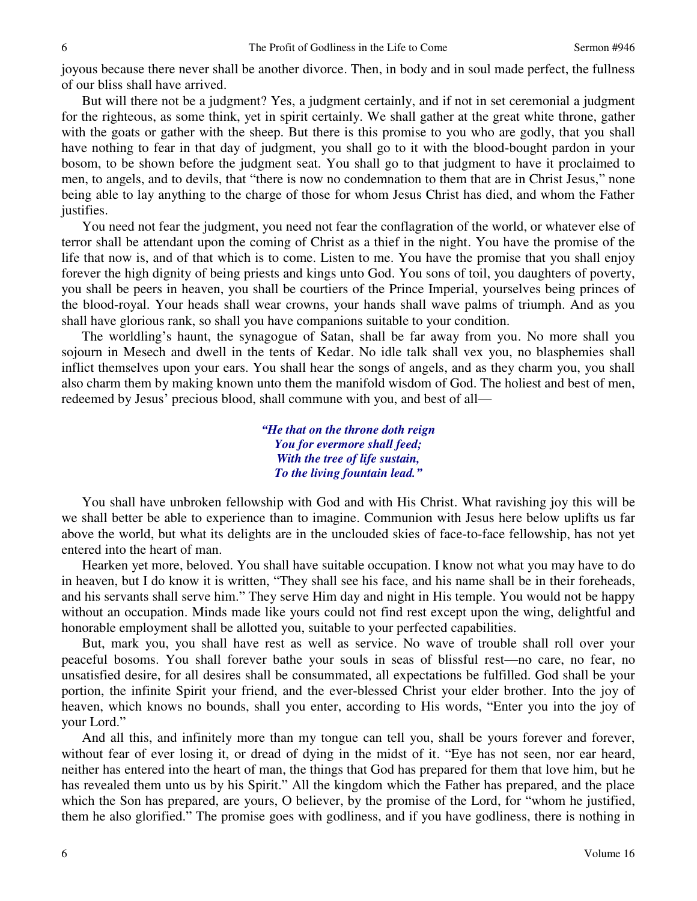joyous because there never shall be another divorce. Then, in body and in soul made perfect, the fullness of our bliss shall have arrived.

But will there not be a judgment? Yes, a judgment certainly, and if not in set ceremonial a judgment for the righteous, as some think, yet in spirit certainly. We shall gather at the great white throne, gather with the goats or gather with the sheep. But there is this promise to you who are godly, that you shall have nothing to fear in that day of judgment, you shall go to it with the blood-bought pardon in your bosom, to be shown before the judgment seat. You shall go to that judgment to have it proclaimed to men, to angels, and to devils, that "there is now no condemnation to them that are in Christ Jesus," none being able to lay anything to the charge of those for whom Jesus Christ has died, and whom the Father justifies.

You need not fear the judgment, you need not fear the conflagration of the world, or whatever else of terror shall be attendant upon the coming of Christ as a thief in the night. You have the promise of the life that now is, and of that which is to come. Listen to me. You have the promise that you shall enjoy forever the high dignity of being priests and kings unto God. You sons of toil, you daughters of poverty, you shall be peers in heaven, you shall be courtiers of the Prince Imperial, yourselves being princes of the blood-royal. Your heads shall wear crowns, your hands shall wave palms of triumph. And as you shall have glorious rank, so shall you have companions suitable to your condition.

The worldling's haunt, the synagogue of Satan, shall be far away from you. No more shall you sojourn in Mesech and dwell in the tents of Kedar. No idle talk shall vex you, no blasphemies shall inflict themselves upon your ears. You shall hear the songs of angels, and as they charm you, you shall also charm them by making known unto them the manifold wisdom of God. The holiest and best of men, redeemed by Jesus' precious blood, shall commune with you, and best of all—

> *"He that on the throne doth reign You for evermore shall feed; With the tree of life sustain, To the living fountain lead."*

You shall have unbroken fellowship with God and with His Christ. What ravishing joy this will be we shall better be able to experience than to imagine. Communion with Jesus here below uplifts us far above the world, but what its delights are in the unclouded skies of face-to-face fellowship, has not yet entered into the heart of man.

Hearken yet more, beloved. You shall have suitable occupation. I know not what you may have to do in heaven, but I do know it is written, "They shall see his face, and his name shall be in their foreheads, and his servants shall serve him." They serve Him day and night in His temple. You would not be happy without an occupation. Minds made like yours could not find rest except upon the wing, delightful and honorable employment shall be allotted you, suitable to your perfected capabilities.

But, mark you, you shall have rest as well as service. No wave of trouble shall roll over your peaceful bosoms. You shall forever bathe your souls in seas of blissful rest—no care, no fear, no unsatisfied desire, for all desires shall be consummated, all expectations be fulfilled. God shall be your portion, the infinite Spirit your friend, and the ever-blessed Christ your elder brother. Into the joy of heaven, which knows no bounds, shall you enter, according to His words, "Enter you into the joy of your Lord."

And all this, and infinitely more than my tongue can tell you, shall be yours forever and forever, without fear of ever losing it, or dread of dying in the midst of it. "Eye has not seen, nor ear heard, neither has entered into the heart of man, the things that God has prepared for them that love him, but he has revealed them unto us by his Spirit." All the kingdom which the Father has prepared, and the place which the Son has prepared, are yours, O believer, by the promise of the Lord, for "whom he justified, them he also glorified." The promise goes with godliness, and if you have godliness, there is nothing in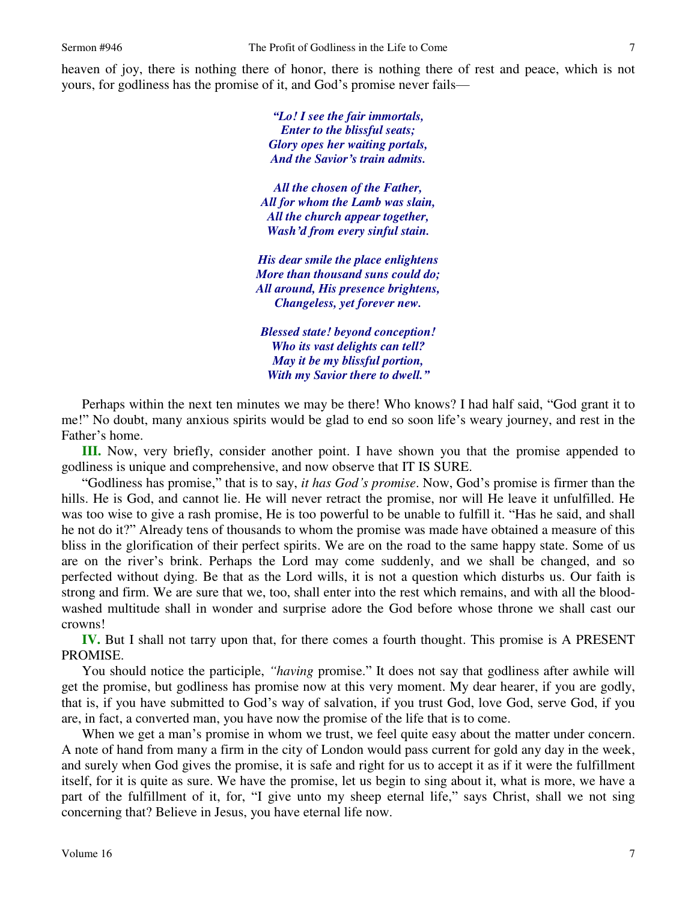heaven of joy, there is nothing there of honor, there is nothing there of rest and peace, which is not yours, for godliness has the promise of it, and God's promise never fails—

> *"Lo! I see the fair immortals, Enter to the blissful seats; Glory opes her waiting portals, And the Savior's train admits.*

*All the chosen of the Father, All for whom the Lamb was slain, All the church appear together, Wash'd from every sinful stain.* 

*His dear smile the place enlightens More than thousand suns could do; All around, His presence brightens, Changeless, yet forever new.* 

*Blessed state! beyond conception! Who its vast delights can tell? May it be my blissful portion, With my Savior there to dwell."*

Perhaps within the next ten minutes we may be there! Who knows? I had half said, "God grant it to me!" No doubt, many anxious spirits would be glad to end so soon life's weary journey, and rest in the Father's home.

**III.** Now, very briefly, consider another point. I have shown you that the promise appended to godliness is unique and comprehensive, and now observe that IT IS SURE.

"Godliness has promise," that is to say, *it has God's promise*. Now, God's promise is firmer than the hills. He is God, and cannot lie. He will never retract the promise, nor will He leave it unfulfilled. He was too wise to give a rash promise, He is too powerful to be unable to fulfill it. "Has he said, and shall he not do it?" Already tens of thousands to whom the promise was made have obtained a measure of this bliss in the glorification of their perfect spirits. We are on the road to the same happy state. Some of us are on the river's brink. Perhaps the Lord may come suddenly, and we shall be changed, and so perfected without dying. Be that as the Lord wills, it is not a question which disturbs us. Our faith is strong and firm. We are sure that we, too, shall enter into the rest which remains, and with all the bloodwashed multitude shall in wonder and surprise adore the God before whose throne we shall cast our crowns!

**IV.** But I shall not tarry upon that, for there comes a fourth thought. This promise is A PRESENT PROMISE.

You should notice the participle, *"having* promise." It does not say that godliness after awhile will get the promise, but godliness has promise now at this very moment. My dear hearer, if you are godly, that is, if you have submitted to God's way of salvation, if you trust God, love God, serve God, if you are, in fact, a converted man, you have now the promise of the life that is to come.

When we get a man's promise in whom we trust, we feel quite easy about the matter under concern. A note of hand from many a firm in the city of London would pass current for gold any day in the week, and surely when God gives the promise, it is safe and right for us to accept it as if it were the fulfillment itself, for it is quite as sure. We have the promise, let us begin to sing about it, what is more, we have a part of the fulfillment of it, for, "I give unto my sheep eternal life," says Christ, shall we not sing concerning that? Believe in Jesus, you have eternal life now.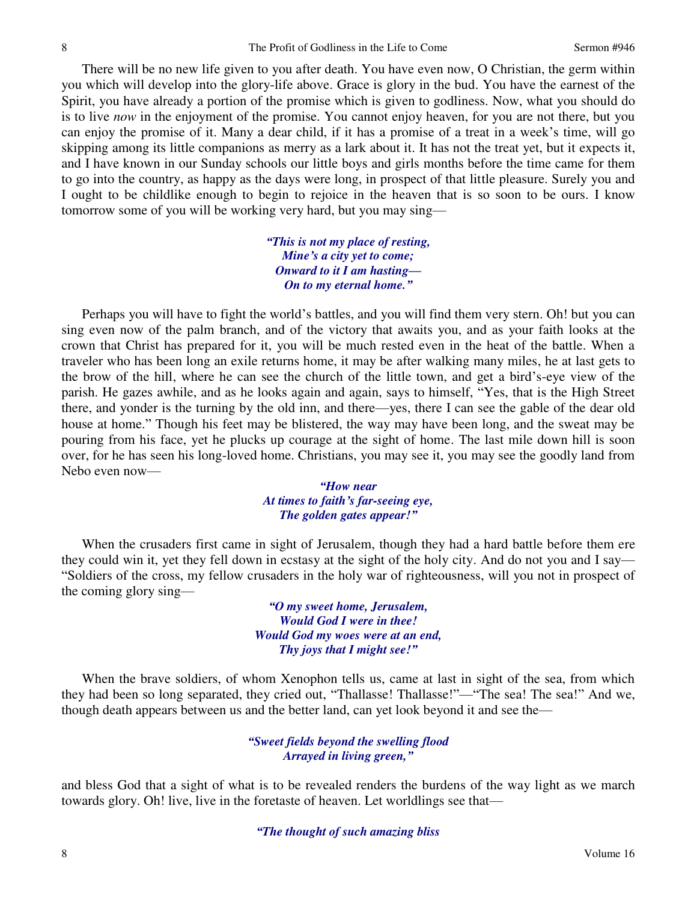There will be no new life given to you after death. You have even now, O Christian, the germ within you which will develop into the glory-life above. Grace is glory in the bud. You have the earnest of the Spirit, you have already a portion of the promise which is given to godliness. Now, what you should do is to live *now* in the enjoyment of the promise. You cannot enjoy heaven, for you are not there, but you can enjoy the promise of it. Many a dear child, if it has a promise of a treat in a week's time, will go skipping among its little companions as merry as a lark about it. It has not the treat yet, but it expects it, and I have known in our Sunday schools our little boys and girls months before the time came for them to go into the country, as happy as the days were long, in prospect of that little pleasure. Surely you and I ought to be childlike enough to begin to rejoice in the heaven that is so soon to be ours. I know tomorrow some of you will be working very hard, but you may sing—

> *"This is not my place of resting, Mine's a city yet to come; Onward to it I am hasting— On to my eternal home."*

Perhaps you will have to fight the world's battles, and you will find them very stern. Oh! but you can sing even now of the palm branch, and of the victory that awaits you, and as your faith looks at the crown that Christ has prepared for it, you will be much rested even in the heat of the battle. When a traveler who has been long an exile returns home, it may be after walking many miles, he at last gets to the brow of the hill, where he can see the church of the little town, and get a bird's-eye view of the parish. He gazes awhile, and as he looks again and again, says to himself, "Yes, that is the High Street there, and yonder is the turning by the old inn, and there—yes, there I can see the gable of the dear old house at home." Though his feet may be blistered, the way may have been long, and the sweat may be pouring from his face, yet he plucks up courage at the sight of home. The last mile down hill is soon over, for he has seen his long-loved home. Christians, you may see it, you may see the goodly land from Nebo even now—

> *"How near At times to faith's far-seeing eye, The golden gates appear!"*

When the crusaders first came in sight of Jerusalem, though they had a hard battle before them ere they could win it, yet they fell down in ecstasy at the sight of the holy city. And do not you and I say— "Soldiers of the cross, my fellow crusaders in the holy war of righteousness, will you not in prospect of the coming glory sing—

> *"O my sweet home, Jerusalem, Would God I were in thee! Would God my woes were at an end, Thy joys that I might see!"*

When the brave soldiers, of whom Xenophon tells us, came at last in sight of the sea, from which they had been so long separated, they cried out, "Thallasse! Thallasse!"—"The sea! The sea!" And we, though death appears between us and the better land, can yet look beyond it and see the—

### *"Sweet fields beyond the swelling flood Arrayed in living green,"*

and bless God that a sight of what is to be revealed renders the burdens of the way light as we march towards glory. Oh! live, live in the foretaste of heaven. Let worldlings see that—

#### *"The thought of such amazing bliss*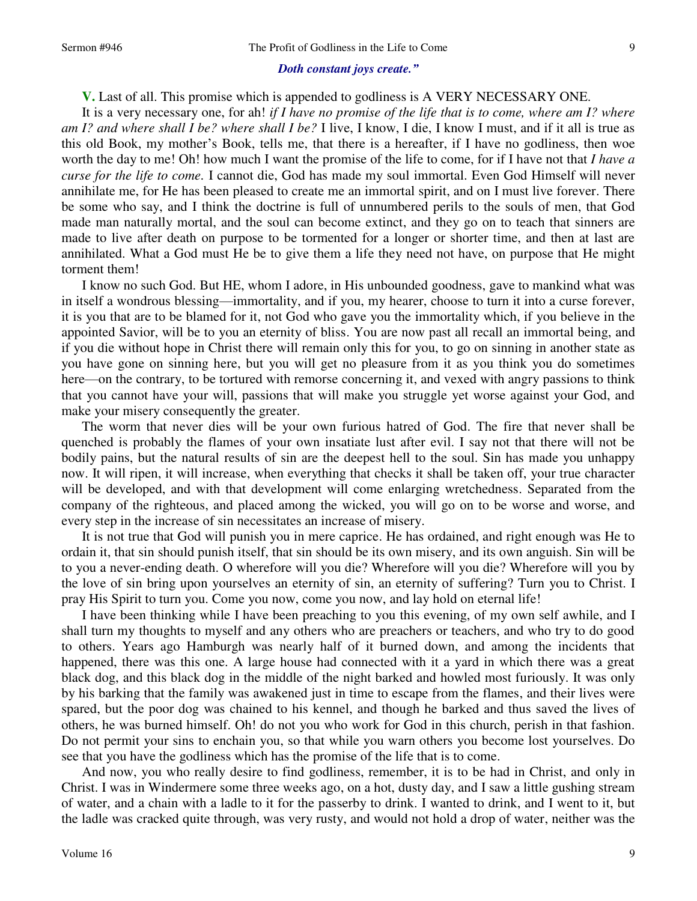#### *Doth constant joys create."*

**V.** Last of all. This promise which is appended to godliness is A VERY NECESSARY ONE.

It is a very necessary one, for ah! *if I have no promise of the life that is to come, where am I? where am I? and where shall I be? where shall I be?* I live, I know, I die, I know I must, and if it all is true as this old Book, my mother's Book, tells me, that there is a hereafter, if I have no godliness, then woe worth the day to me! Oh! how much I want the promise of the life to come, for if I have not that *I have a curse for the life to come.* I cannot die, God has made my soul immortal. Even God Himself will never annihilate me, for He has been pleased to create me an immortal spirit, and on I must live forever. There be some who say, and I think the doctrine is full of unnumbered perils to the souls of men, that God made man naturally mortal, and the soul can become extinct, and they go on to teach that sinners are made to live after death on purpose to be tormented for a longer or shorter time, and then at last are annihilated. What a God must He be to give them a life they need not have, on purpose that He might torment them!

I know no such God. But HE, whom I adore, in His unbounded goodness, gave to mankind what was in itself a wondrous blessing—immortality, and if you, my hearer, choose to turn it into a curse forever, it is you that are to be blamed for it, not God who gave you the immortality which, if you believe in the appointed Savior, will be to you an eternity of bliss. You are now past all recall an immortal being, and if you die without hope in Christ there will remain only this for you, to go on sinning in another state as you have gone on sinning here, but you will get no pleasure from it as you think you do sometimes here—on the contrary, to be tortured with remorse concerning it, and vexed with angry passions to think that you cannot have your will, passions that will make you struggle yet worse against your God, and make your misery consequently the greater.

The worm that never dies will be your own furious hatred of God. The fire that never shall be quenched is probably the flames of your own insatiate lust after evil. I say not that there will not be bodily pains, but the natural results of sin are the deepest hell to the soul. Sin has made you unhappy now. It will ripen, it will increase, when everything that checks it shall be taken off, your true character will be developed, and with that development will come enlarging wretchedness. Separated from the company of the righteous, and placed among the wicked, you will go on to be worse and worse, and every step in the increase of sin necessitates an increase of misery.

It is not true that God will punish you in mere caprice. He has ordained, and right enough was He to ordain it, that sin should punish itself, that sin should be its own misery, and its own anguish. Sin will be to you a never-ending death. O wherefore will you die? Wherefore will you die? Wherefore will you by the love of sin bring upon yourselves an eternity of sin, an eternity of suffering? Turn you to Christ. I pray His Spirit to turn you. Come you now, come you now, and lay hold on eternal life!

I have been thinking while I have been preaching to you this evening, of my own self awhile, and I shall turn my thoughts to myself and any others who are preachers or teachers, and who try to do good to others. Years ago Hamburgh was nearly half of it burned down, and among the incidents that happened, there was this one. A large house had connected with it a yard in which there was a great black dog, and this black dog in the middle of the night barked and howled most furiously. It was only by his barking that the family was awakened just in time to escape from the flames, and their lives were spared, but the poor dog was chained to his kennel, and though he barked and thus saved the lives of others, he was burned himself. Oh! do not you who work for God in this church, perish in that fashion. Do not permit your sins to enchain you, so that while you warn others you become lost yourselves. Do see that you have the godliness which has the promise of the life that is to come.

And now, you who really desire to find godliness, remember, it is to be had in Christ, and only in Christ. I was in Windermere some three weeks ago, on a hot, dusty day, and I saw a little gushing stream of water, and a chain with a ladle to it for the passerby to drink. I wanted to drink, and I went to it, but the ladle was cracked quite through, was very rusty, and would not hold a drop of water, neither was the